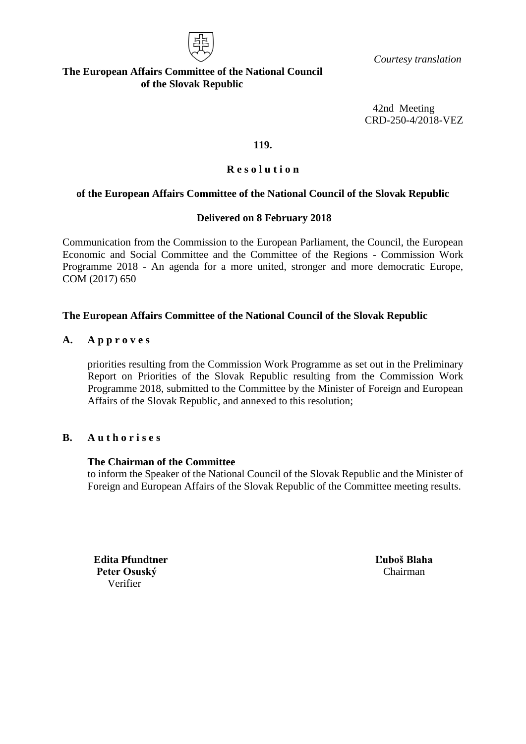

 *Courtesy translation*

### **The European Affairs Committee of the National Council of the Slovak Republic**

42nd Meeting CRD-250-4/2018-VEZ

#### **119.**

## **R e s o l u t i o n**

## **of the European Affairs Committee of the National Council of the Slovak Republic**

### **Delivered on 8 February 2018**

Communication from the Commission to the European Parliament, the Council, the European Economic and Social Committee and the Committee of the Regions - Commission Work Programme 2018 - An agenda for a more united, stronger and more democratic Europe, COM (2017) 650

### **The European Affairs Committee of the National Council of the Slovak Republic**

### **A. A p p r o v e s**

priorities resulting from the Commission Work Programme as set out in the Preliminary Report on Priorities of the Slovak Republic resulting from the Commission Work Programme 2018, submitted to the Committee by the Minister of Foreign and European Affairs of the Slovak Republic, and annexed to this resolution;

#### **B. A u t h o r i s e s**

#### **The Chairman of the Committee**

to inform the Speaker of the National Council of the Slovak Republic and the Minister of Foreign and European Affairs of the Slovak Republic of the Committee meeting results.

**Edita Pfundtner Ľuboš Blaha** Peter Osuský **Chairman** Verifier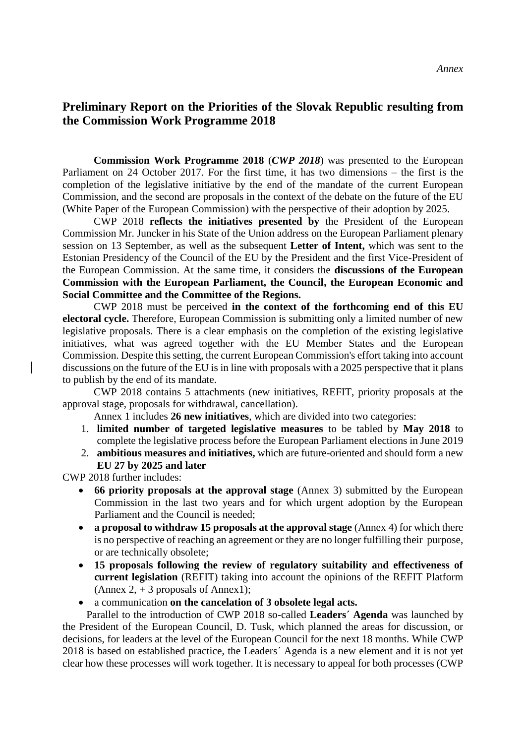# **Preliminary Report on the Priorities of the Slovak Republic resulting from the Commission Work Programme 2018**

**Commission Work Programme 2018** (*CWP 2018*) was presented to the European Parliament on 24 October 2017. For the first time, it has two dimensions – the first is the completion of the legislative initiative by the end of the mandate of the current European Commission, and the second are proposals in the context of the debate on the future of the EU (White Paper of the European Commission) with the perspective of their adoption by 2025.

CWP 2018 **reflects the initiatives presented by** the President of the European Commission Mr. Juncker in his State of the Union address on the European Parliament plenary session on 13 September, as well as the subsequent **Letter of Intent,** which was sent to the Estonian Presidency of the Council of the EU by the President and the first Vice-President of the European Commission. At the same time, it considers the **discussions of the European Commission with the European Parliament, the Council, the European Economic and Social Committee and the Committee of the Regions.** 

CWP 2018 must be perceived **in the context of the forthcoming end of this EU electoral cycle.** Therefore, European Commission is submitting only a limited number of new legislative proposals. There is a clear emphasis on the completion of the existing legislative initiatives, what was agreed together with the EU Member States and the European Commission. Despite this setting, the current European Commission's effort taking into account discussions on the future of the EU is in line with proposals with a 2025 perspective that it plans to publish by the end of its mandate.

CWP 2018 contains 5 attachments (new initiatives, REFIT, priority proposals at the approval stage, proposals for withdrawal, cancellation).

Annex 1 includes **26 new initiatives**, which are divided into two categories:

- 1. **limited number of targeted legislative measures** to be tabled by **May 2018** to complete the legislative process before the European Parliament elections in June 2019
- 2. **ambitious measures and initiatives,** which are future-oriented and should form a new **EU 27 by 2025 and later**

CWP 2018 further includes:

- **66 priority proposals at the approval stage** (Annex 3) submitted by the European Commission in the last two years and for which urgent adoption by the European Parliament and the Council is needed;
- **a proposal to withdraw 15 proposals at the approval stage** (Annex 4) for which there is no perspective of reaching an agreement or they are no longer fulfilling their purpose, or are technically obsolete;
- **15 proposals following the review of regulatory suitability and effectiveness of current legislation** (REFIT) taking into account the opinions of the REFIT Platform (Annex 2,  $+$  3 proposals of Annex 1);
- a communication **on the cancelation of 3 obsolete legal acts.**

 Parallel to the introduction of CWP 2018 so-called **Leaders´ Agenda** was launched by the President of the European Council, D. Tusk, which planned the areas for discussion, or decisions, for leaders at the level of the European Council for the next 18 months. While CWP 2018 is based on established practice, the Leaders´ Agenda is a new element and it is not yet clear how these processes will work together. It is necessary to appeal for both processes (CWP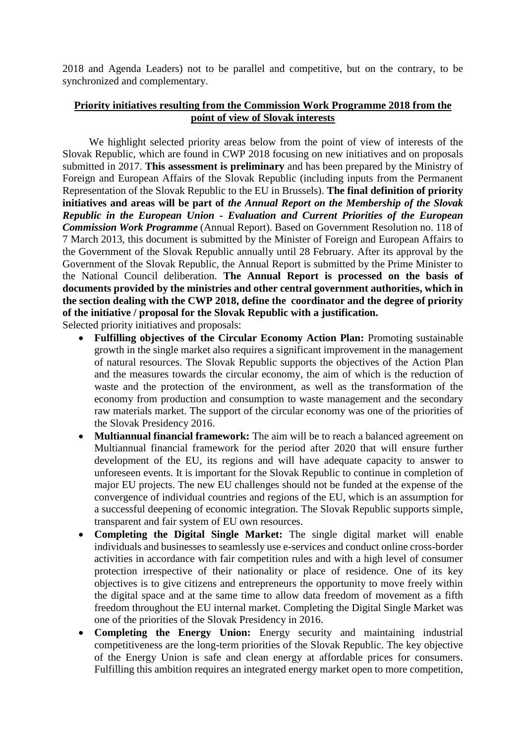2018 and Agenda Leaders) not to be parallel and competitive, but on the contrary, to be synchronized and complementary.

# **Priority initiatives resulting from the Commission Work Programme 2018 from the point of view of Slovak interests**

We highlight selected priority areas below from the point of view of interests of the Slovak Republic, which are found in CWP 2018 focusing on new initiatives and on proposals submitted in 2017. **This assessment is preliminary** and has been prepared by the Ministry of Foreign and European Affairs of the Slovak Republic (including inputs from the Permanent Representation of the Slovak Republic to the EU in Brussels). **The final definition of priority initiatives and areas will be part of** *the Annual Report on the Membership of the Slovak Republic in the European Union - Evaluation and Current Priorities of the European Commission Work Programme* (Annual Report). Based on Government Resolution no. 118 of 7 March 2013, this document is submitted by the Minister of Foreign and European Affairs to the Government of the Slovak Republic annually until 28 February. After its approval by the Government of the Slovak Republic, the Annual Report is submitted by the Prime Minister to the National Council deliberation. **The Annual Report is processed on the basis of documents provided by the ministries and other central government authorities, which in the section dealing with the CWP 2018, define the coordinator and the degree of priority of the initiative / proposal for the Slovak Republic with a justification.** 

Selected priority initiatives and proposals:

- **Fulfilling objectives of the Circular Economy Action Plan:** Promoting sustainable growth in the single market also requires a significant improvement in the management of natural resources. The Slovak Republic supports the objectives of the Action Plan and the measures towards the circular economy, the aim of which is the reduction of waste and the protection of the environment, as well as the transformation of the economy from production and consumption to waste management and the secondary raw materials market. The support of the circular economy was one of the priorities of the Slovak Presidency 2016.
- **Multiannual financial framework:** The aim will be to reach a balanced agreement on Multiannual financial framework for the period after 2020 that will ensure further development of the EU, its regions and will have adequate capacity to answer to unforeseen events. It is important for the Slovak Republic to continue in completion of major EU projects. The new EU challenges should not be funded at the expense of the convergence of individual countries and regions of the EU, which is an assumption for a successful deepening of economic integration. The Slovak Republic supports simple, transparent and fair system of EU own resources.
- **Completing the Digital Single Market:** The single digital market will enable individuals and businesses to seamlessly use e-services and conduct online cross-border activities in accordance with fair competition rules and with a high level of consumer protection irrespective of their nationality or place of residence. One of its key objectives is to give citizens and entrepreneurs the opportunity to move freely within the digital space and at the same time to allow data freedom of movement as a fifth freedom throughout the EU internal market. Completing the Digital Single Market was one of the priorities of the Slovak Presidency in 2016.
- **Completing the Energy Union:** Energy security and maintaining industrial competitiveness are the long-term priorities of the Slovak Republic. The key objective of the Energy Union is safe and clean energy at affordable prices for consumers. Fulfilling this ambition requires an integrated energy market open to more competition,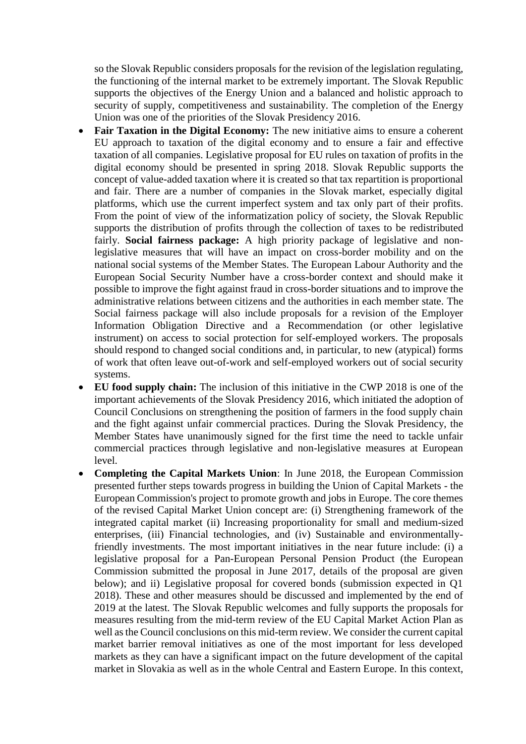so the Slovak Republic considers proposals for the revision of the legislation regulating, the functioning of the internal market to be extremely important. The Slovak Republic supports the objectives of the Energy Union and a balanced and holistic approach to security of supply, competitiveness and sustainability. The completion of the Energy Union was one of the priorities of the Slovak Presidency 2016.

- Fair Taxation in the Digital Economy: The new initiative aims to ensure a coherent EU approach to taxation of the digital economy and to ensure a fair and effective taxation of all companies. Legislative proposal for EU rules on taxation of profits in the digital economy should be presented in spring 2018. Slovak Republic supports the concept of value-added taxation where it is created so that tax repartition is proportional and fair. There are a number of companies in the Slovak market, especially digital platforms, which use the current imperfect system and tax only part of their profits. From the point of view of the informatization policy of society, the Slovak Republic supports the distribution of profits through the collection of taxes to be redistributed fairly. **Social fairness package:** A high priority package of legislative and nonlegislative measures that will have an impact on cross-border mobility and on the national social systems of the Member States. The European Labour Authority and the European Social Security Number have a cross-border context and should make it possible to improve the fight against fraud in cross-border situations and to improve the administrative relations between citizens and the authorities in each member state. The Social fairness package will also include proposals for a revision of the Employer Information Obligation Directive and a Recommendation (or other legislative instrument) on access to social protection for self-employed workers. The proposals should respond to changed social conditions and, in particular, to new (atypical) forms of work that often leave out-of-work and self-employed workers out of social security systems.
- **EU food supply chain:** The inclusion of this initiative in the CWP 2018 is one of the important achievements of the Slovak Presidency 2016, which initiated the adoption of Council Conclusions on strengthening the position of farmers in the food supply chain and the fight against unfair commercial practices. During the Slovak Presidency, the Member States have unanimously signed for the first time the need to tackle unfair commercial practices through legislative and non-legislative measures at European level.
- **Completing the Capital Markets Union**: In June 2018, the European Commission presented further steps towards progress in building the Union of Capital Markets - the European Commission's project to promote growth and jobs in Europe. The core themes of the revised Capital Market Union concept are: (i) Strengthening framework of the integrated capital market (ii) Increasing proportionality for small and medium-sized enterprises, (iii) Financial technologies, and (iv) Sustainable and environmentallyfriendly investments. The most important initiatives in the near future include: (i) a legislative proposal for a Pan-European Personal Pension Product (the European Commission submitted the proposal in June 2017, details of the proposal are given below); and ii) Legislative proposal for covered bonds (submission expected in Q1 2018). These and other measures should be discussed and implemented by the end of 2019 at the latest. The Slovak Republic welcomes and fully supports the proposals for measures resulting from the mid-term review of the EU Capital Market Action Plan as well as the Council conclusions on this mid-term review. We consider the current capital market barrier removal initiatives as one of the most important for less developed markets as they can have a significant impact on the future development of the capital market in Slovakia as well as in the whole Central and Eastern Europe. In this context,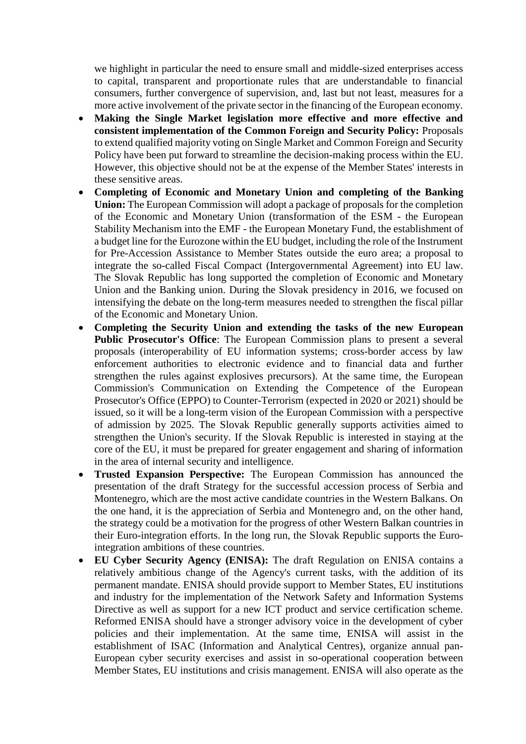we highlight in particular the need to ensure small and middle-sized enterprises access to capital, transparent and proportionate rules that are understandable to financial consumers, further convergence of supervision, and, last but not least, measures for a more active involvement of the private sector in the financing of the European economy.

- **Making the Single Market legislation more effective and more effective and consistent implementation of the Common Foreign and Security Policy:** Proposals to extend qualified majority voting on Single Market and Common Foreign and Security Policy have been put forward to streamline the decision-making process within the EU. However, this objective should not be at the expense of the Member States' interests in these sensitive areas.
- **Completing of Economic and Monetary Union and completing of the Banking Union:** The European Commission will adopt a package of proposals for the completion of the Economic and Monetary Union (transformation of the ESM - the European Stability Mechanism into the EMF - the European Monetary Fund, the establishment of a budget line for the Eurozone within the EU budget, including the role of the Instrument for Pre-Accession Assistance to Member States outside the euro area; a proposal to integrate the so-called Fiscal Compact (Intergovernmental Agreement) into EU law. The Slovak Republic has long supported the completion of Economic and Monetary Union and the Banking union. During the Slovak presidency in 2016, we focused on intensifying the debate on the long-term measures needed to strengthen the fiscal pillar of the Economic and Monetary Union.
- **Completing the Security Union and extending the tasks of the new European Public Prosecutor's Office**: The European Commission plans to present a several proposals (interoperability of EU information systems; cross-border access by law enforcement authorities to electronic evidence and to financial data and further strengthen the rules against explosives precursors). At the same time, the European Commission's Communication on Extending the Competence of the European Prosecutor's Office (EPPO) to Counter-Terrorism (expected in 2020 or 2021) should be issued, so it will be a long-term vision of the European Commission with a perspective of admission by 2025. The Slovak Republic generally supports activities aimed to strengthen the Union's security. If the Slovak Republic is interested in staying at the core of the EU, it must be prepared for greater engagement and sharing of information in the area of internal security and intelligence.
- **Trusted Expansion Perspective:** The European Commission has announced the presentation of the draft Strategy for the successful accession process of Serbia and Montenegro, which are the most active candidate countries in the Western Balkans. On the one hand, it is the appreciation of Serbia and Montenegro and, on the other hand, the strategy could be a motivation for the progress of other Western Balkan countries in their Euro-integration efforts. In the long run, the Slovak Republic supports the Eurointegration ambitions of these countries.
- **EU Cyber Security Agency (ENISA):** The draft Regulation on ENISA contains a relatively ambitious change of the Agency's current tasks, with the addition of its permanent mandate. ENISA should provide support to Member States, EU institutions and industry for the implementation of the Network Safety and Information Systems Directive as well as support for a new ICT product and service certification scheme. Reformed ENISA should have a stronger advisory voice in the development of cyber policies and their implementation. At the same time, ENISA will assist in the establishment of ISAC (Information and Analytical Centres), organize annual pan-European cyber security exercises and assist in so-operational cooperation between Member States, EU institutions and crisis management. ENISA will also operate as the